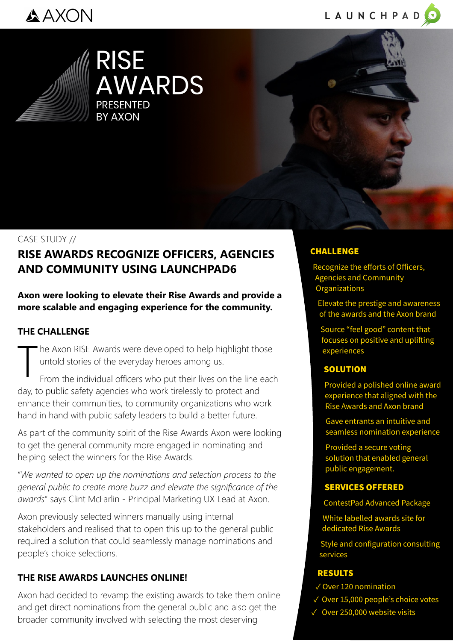## AAXON





**RISE AWARDS PRESENTED RY AXON** 



# CASE STUDY //

### **RISE AWARDS RECOGNIZE OFFICERS, AGENCIES AND COMMUNITY USING LAUNCHPAD6**

**Axon were looking to elevate their Rise Awards and provide a more scalable and engaging experience for the community.**

#### **THE CHALLENGE**

he Axon RISE Awards were developed to help highlight those untold stories of the everyday heroes among us.

T From the individual officers who put their lives on the line each day, to public safety agencies who work tirelessly to protect and enhance their communities, to community organizations who work hand in hand with public safety leaders to build a better future.

As part of the community spirit of the Rise Awards Axon were looking to get the general community more engaged in nominating and helping select the winners for the Rise Awards.

"*We wanted to open up the nominations and selection process to the general public to create more buzz and elevate the significance of the awards*" says Clint McFarlin - Principal Marketing UX Lead at Axon.

Axon previously selected winners manually using internal stakeholders and realised that to open this up to the general public required a solution that could seamlessly manage nominations and people's choice selections.

#### **THE RISE AWARDS LAUNCHES ONLINE!**

Axon had decided to revamp the existing awards to take them online and get direct nominations from the general public and also get the broader community involved with selecting the most deserving

#### CHALLENGE

Recognize the efforts of Officers, Agencies and Community **Organizations** 

Elevate the prestige and awareness of the awards and the Axon brand

Source "feel good" content that focuses on positive and uplifting experiences

#### **SOLUTION**

Provided a polished online award experience that aligned with the Rise Awards and Axon brand

Gave entrants an intuitive and seamless nomination experience

Provided a secure voting solution that enabled general public engagement.

#### SERVICES OFFERED

ContestPad Advanced Package

White labelled awards site for dedicated Rise Awards

Style and configuration consulting services

#### RESULTS

- ✓ Over 120 nomination
- ✓ Over 15,000 people's choice votes
- ✓ Over 250,000 website visits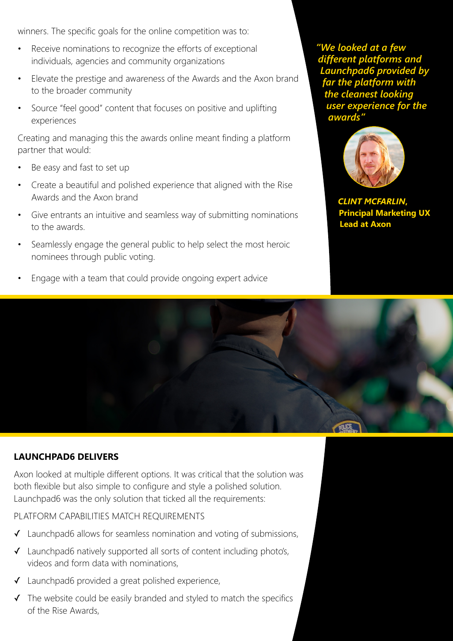winners. The specific goals for the online competition was to:

- Receive nominations to recognize the efforts of exceptional individuals, agencies and community organizations
- Elevate the prestige and awareness of the Awards and the Axon brand to the broader community
- Source "feel good" content that focuses on positive and uplifting experiences

Creating and managing this the awards online meant finding a platform partner that would:

- Be easy and fast to set up
- Create a beautiful and polished experience that aligned with the Rise Awards and the Axon brand
- Give entrants an intuitive and seamless way of submitting nominations to the awards.
- Seamlessly engage the general public to help select the most heroic nominees through public voting.
- Engage with a team that could provide ongoing expert advice

*"We looked at a few different platforms and Launchpad6 provided by far the platform with the cleanest looking user experience for the awards"*



*CLINT MCFARLIN***, Principal Marketing UX Lead at Axon**

#### **LAUNCHPAD6 DELIVERS**

Axon looked at multiple different options. It was critical that the solution was both flexible but also simple to configure and style a polished solution. Launchpad6 was the only solution that ticked all the requirements:

#### PLATFORM CAPABILITIES MATCH REQUIREMENTS

- ✓ Launchpad6 allows for seamless nomination and voting of submissions,
- ✓ Launchpad6 natively supported all sorts of content including photo's, videos and form data with nominations,
- ✓ Launchpad6 provided a great polished experience,
- ✓ The website could be easily branded and styled to match the specifics of the Rise Awards,